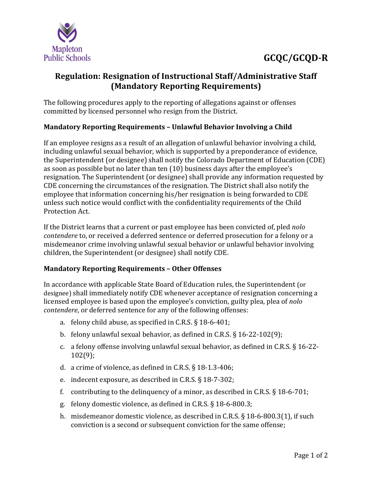

# **GCQC/GCQD-R**

### **Regulation: Resignation of Instructional Staff/Administrative Staff (Mandatory Reporting Requirements)**

The following procedures apply to the reporting of allegations against or offenses committed by licensed personnel who resign from the District.

#### **Mandatory Reporting Requirements – Unlawful Behavior Involving a Child**

If an employee resigns as a result of an allegation of unlawful behavior involving a child, including unlawful sexual behavior, which is supported by a preponderance of evidence, the Superintendent (or designee) shall notify the Colorado Department of Education (CDE) as soon as possible but no later than ten (10) business days after the employee's resignation. The Superintendent (or designee) shall provide any information requested by CDE concerning the circumstances of the resignation. The District shall also notify the employee that information concerning his/her resignation is being forwarded to CDE unless such notice would conflict with the confidentiality requirements of the Child Protection Act.

If the District learns that a current or past employee has been convicted of, pled *nolo contendere* to, or received a deferred sentence or deferred prosecution for a felony or a misdemeanor crime involving unlawful sexual behavior or unlawful behavior involving children, the Superintendent (or designee) shall notify CDE.

#### **Mandatory Reporting Requirements – Other Offenses**

In accordance with applicable State Board of Education rules, the Superintendent (or designee) shall immediately notify CDE whenever acceptance of resignation concerning a licensed employee is based upon the employee's conviction, guilty plea, plea of *nolo contendere*, or deferred sentence for any of the following offenses:

- a. felony child abuse, as specified in C.R.S. § 18-6-401;
- b. felony unlawful sexual behavior, as defined in C.R.S. § 16-22-102(9);
- c. a felony offense involving unlawful sexual behavior, as defined in C.R.S. § 16-22- 102(9);
- d. a crime of violence, as defined in C.R.S. § 18-1.3-406;
- e. indecent exposure, as described in C.R.S. § 18-7-302;
- f. contributing to the delinquency of a minor, as described in C.R.S. § 18-6-701;
- g. felony domestic violence, as defined in C.R.S. § 18-6-800.3;
- h. misdemeanor domestic violence, as described in C.R.S. § 18-6-800.3(1), if such conviction is a second or subsequent conviction for the same offense;